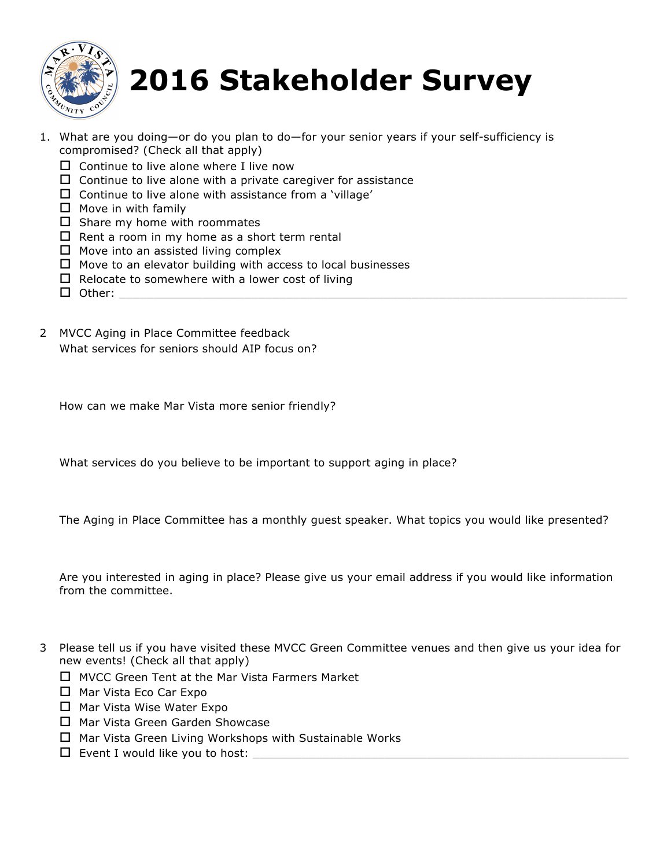

## **2016 Stakeholder Survey**

- 1. What are you doing—or do you plan to do—for your senior years if your self-sufficiency is compromised? (Check all that apply)
	- $\Box$  Continue to live alone where I live now
	- $\Box$  Continue to live alone with a private caregiver for assistance
	- $\Box$  Continue to live alone with assistance from a 'village'
	- $\Box$  Move in with family
	- $\square$  Share my home with roommates
	- $\Box$  Rent a room in my home as a short term rental
	- $\Box$  Move into an assisted living complex
	- $\Box$  Move to an elevator building with access to local businesses
	- $\Box$  Relocate to somewhere with a lower cost of living
	- o Other: \_\_\_\_\_\_\_\_\_\_\_\_\_\_\_\_\_\_\_\_\_\_\_\_\_\_\_\_\_\_\_\_\_\_\_\_\_\_\_\_\_\_\_\_\_\_\_\_\_\_\_\_\_\_\_\_\_\_\_\_\_\_\_\_\_\_\_\_\_\_\_\_\_
- 2 MVCC Aging in Place Committee feedback What services for seniors should AIP focus on?

How can we make Mar Vista more senior friendly?

What services do you believe to be important to support aging in place?

The Aging in Place Committee has a monthly guest speaker. What topics you would like presented?

Are you interested in aging in place? Please give us your email address if you would like information from the committee.

- 3 Please tell us if you have visited these MVCC Green Committee venues and then give us your idea for new events! (Check all that apply)
	- $\Box$  MVCC Green Tent at the Mar Vista Farmers Market
	- $\Box$  Mar Vista Eco Car Expo
	- $\Box$  Mar Vista Wise Water Expo
	- $\Box$  Mar Vista Green Garden Showcase
	- $\Box$  Mar Vista Green Living Workshops with Sustainable Works
	- $\square$  Event I would like you to host: